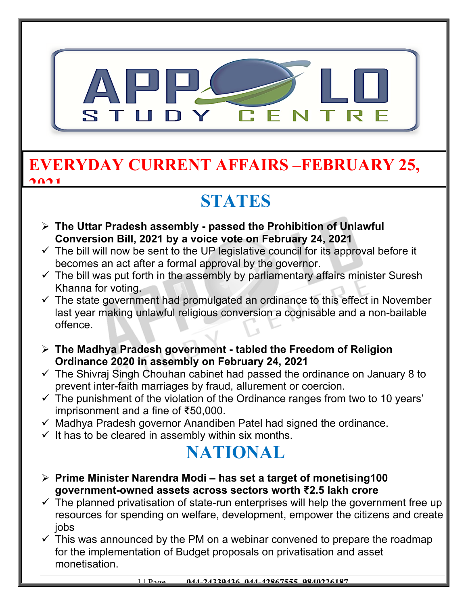

#### **EVERYDAY CURRENT AFFAIRS –FEBRUARY 25, 2021**

## **STATES**

- **The Uttar Pradesh assembly passed the Prohibition of Unlawful Conversion Bill, 2021 by a voice vote on February 24, 2021**
- $\checkmark$  The bill will now be sent to the UP legislative council for its approval before it becomes an act after a formal approval by the governor.
- $\checkmark$  The bill was put forth in the assembly by parliamentary affairs minister Suresh Khanna for voting.
- $\checkmark$  The state government had promulgated an ordinance to this effect in November last year making unlawful religious conversion a cognisable and a non-bailable offence.
- **The Madhya Pradesh government tabled the Freedom of Religion Ordinance 2020 in assembly on February 24, 2021**
- $\checkmark$  The Shivraj Singh Chouhan cabinet had passed the ordinance on January 8 to prevent inter-faith marriages by fraud, allurement or coercion.
- $\checkmark$  The punishment of the violation of the Ordinance ranges from two to 10 years' imprisonment and a fine of ₹50,000.
- $\checkmark$  Madhya Pradesh governor Anandiben Patel had signed the ordinance.
- $\checkmark$  It has to be cleared in assembly within six months.

### **NATIONAL**

- **Prime Minister Narendra Modi has set a target of monetising100 government-owned assets across sectors worth ₹2.5 lakh crore**
- $\checkmark$  The planned privatisation of state-run enterprises will help the government free up resources for spending on welfare, development, empower the citizens and create jobs
- $\checkmark$  This was announced by the PM on a webinar convened to prepare the roadmap for the implementation of Budget proposals on privatisation and asset monetisation.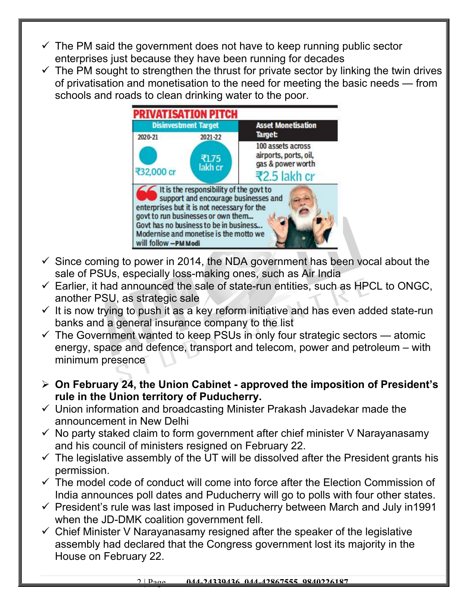- $\checkmark$  The PM said the government does not have to keep running public sector enterprises just because they have been running for decades
- $\checkmark$  The PM sought to strengthen the thrust for private sector by linking the twin drives of privatisation and monetisation to the need for meeting the basic needs — from schools and roads to clean drinking water to the poor.



- $\checkmark$  Since coming to power in 2014, the NDA government has been vocal about the sale of PSUs, especially loss-making ones, such as Air India
- $\checkmark$  Earlier, it had announced the sale of state-run entities, such as HPCL to ONGC, another PSU, as strategic sale
- $\checkmark$  It is now trying to push it as a key reform initiative and has even added state-run banks and a general insurance company to the list
- $\checkmark$  The Government wanted to keep PSUs in only four strategic sectors atomic energy, space and defence, transport and telecom, power and petroleum – with minimum presence
- **On February 24, the Union Cabinet approved the imposition of President's rule in the Union territory of Puducherry.**
- $\checkmark$  Union information and broadcasting Minister Prakash Javadekar made the announcement in New Delhi
- $\checkmark$  No party staked claim to form government after chief minister V Narayanasamy and his council of ministers resigned on February 22.
- $\checkmark$  The legislative assembly of the UT will be dissolved after the President grants his permission.
- $\checkmark$  The model code of conduct will come into force after the Election Commission of India announces poll dates and Puducherry will go to polls with four other states.
- $\checkmark$  President's rule was last imposed in Puducherry between March and July in1991 when the JD-DMK coalition government fell.
- $\checkmark$  Chief Minister V Narayanasamy resigned after the speaker of the legislative assembly had declared that the Congress government lost its majority in the House on February 22.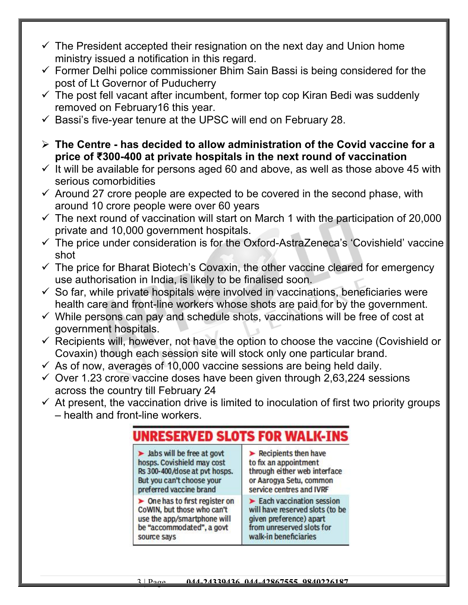- $\checkmark$  The President accepted their resignation on the next day and Union home ministry issued a notification in this regard.
- $\checkmark$  Former Delhi police commissioner Bhim Sain Bassi is being considered for the post of Lt Governor of Puducherry
- $\checkmark$  The post fell vacant after incumbent, former top cop Kiran Bedi was suddenly removed on February16 this year.
- $\checkmark$  Bassi's five-year tenure at the UPSC will end on February 28.
- **The Centre has decided to allow administration of the Covid vaccine for a price of ₹300-400 at private hospitals in the next round of vaccination**
- $\checkmark$  It will be available for persons aged 60 and above, as well as those above 45 with serious comorbidities
- $\checkmark$  Around 27 crore people are expected to be covered in the second phase, with around 10 crore people were over 60 years
- $\checkmark$  The next round of vaccination will start on March 1 with the participation of 20,000 private and 10,000 government hospitals.
- $\checkmark$  The price under consideration is for the Oxford-AstraZeneca's 'Covishield' vaccine shot
- $\checkmark$  The price for Bharat Biotech's Covaxin, the other vaccine cleared for emergency use authorisation in India, is likely to be finalised soon.
- $\checkmark$  So far, while private hospitals were involved in vaccinations, beneficiaries were health care and front-line workers whose shots are paid for by the government.
- $\checkmark$  While persons can pay and schedule shots, vaccinations will be free of cost at government hospitals.
- $\checkmark$  Recipients will, however, not have the option to choose the vaccine (Covishield or Covaxin) though each session site will stock only one particular brand.
- $\checkmark$  As of now, averages of 10,000 vaccine sessions are being held daily.
- $\checkmark$  Over 1.23 crore vaccine doses have been given through 2,63,224 sessions across the country till February 24
- $\checkmark$  At present, the vaccination drive is limited to inoculation of first two priority groups – health and front-line workers.

#### **UNRESERVED SLOTS FOR WALK-INS**

 $\blacktriangleright$  Jabs will be free at govt hosps. Covishield may cost Rs 300-400/dose at pvt hosps. But you can't choose your preferred vaccine brand

 $\triangleright$  One has to first register on CoWIN, but those who can't use the app/smartphone will be "accommodated", a govt source says

 $\blacktriangleright$  Recipients then have to fix an appointment through either web interface or Aarogya Setu, common service centres and IVRF

 $\blacktriangleright$  Each vaccination session will have reserved slots (to be given preference) apart from unreserved slots for walk-in beneficiaries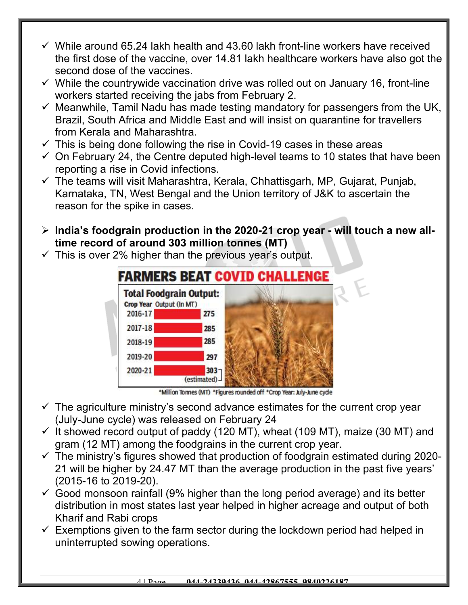- $\checkmark$  While around 65.24 lakh health and 43.60 lakh front-line workers have received the first dose of the vaccine, over 14.81 lakh healthcare workers have also got the second dose of the vaccines.
- $\checkmark$  While the countrywide vaccination drive was rolled out on January 16, front-line workers started receiving the jabs from February 2.
- $\checkmark$  Meanwhile, Tamil Nadu has made testing mandatory for passengers from the UK, Brazil, South Africa and Middle East and will insist on quarantine for travellers from Kerala and Maharashtra.
- $\checkmark$  This is being done following the rise in Covid-19 cases in these areas
- $\checkmark$  On February 24, the Centre deputed high-level teams to 10 states that have been reporting a rise in Covid infections.
- $\checkmark$  The teams will visit Maharashtra, Kerala, Chhattisgarh, MP, Gujarat, Punjab, Karnataka, TN, West Bengal and the Union territory of J&K to ascertain the reason for the spike in cases.
- **India's foodgrain production in the 2020-21 crop year will touch a new alltime record of around 303 million tonnes (MT)**
- $\checkmark$  This is over 2% higher than the previous year's output.



\*Million Tonnes (MT) \*Figures rounded off \*Crop Year: July-June cycle

- $\checkmark$  The agriculture ministry's second advance estimates for the current crop year (July-June cycle) was released on February 24
- $\checkmark$  It showed record output of paddy (120 MT), wheat (109 MT), maize (30 MT) and gram (12 MT) among the foodgrains in the current crop year.
- $\checkmark$  The ministry's figures showed that production of foodgrain estimated during 2020-21 will be higher by 24.47 MT than the average production in the past five years' (2015-16 to 2019-20).
- $\checkmark$  Good monsoon rainfall (9% higher than the long period average) and its better distribution in most states last year helped in higher acreage and output of both Kharif and Rabi crops
- $\checkmark$  Exemptions given to the farm sector during the lockdown period had helped in uninterrupted sowing operations.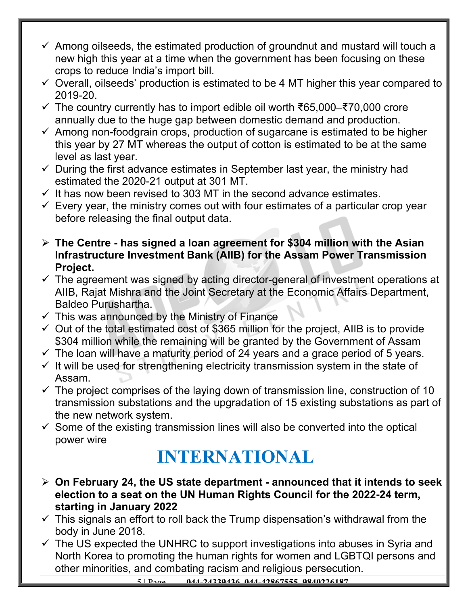- $\checkmark$  Among oilseeds, the estimated production of groundnut and mustard will touch a new high this year at a time when the government has been focusing on these crops to reduce India's import bill.
- $\checkmark$  Overall, oilseeds' production is estimated to be 4 MT higher this year compared to 2019-20.
- The country currently has to import edible oil worth ₹65,000–₹70,000 crore annually due to the huge gap between domestic demand and production.
- $\checkmark$  Among non-foodgrain crops, production of sugarcane is estimated to be higher this year by 27 MT whereas the output of cotton is estimated to be at the same level as last year.
- $\checkmark$  During the first advance estimates in September last year, the ministry had estimated the 2020-21 output at 301 MT.
- $\checkmark$  It has now been revised to 303 MT in the second advance estimates.
- $\checkmark$  Every year, the ministry comes out with four estimates of a particular crop year before releasing the final output data.
- **The Centre has signed a loan agreement for \$304 million with the Asian Infrastructure Investment Bank (AIIB) for the Assam Power Transmission Project.**
- $\checkmark$  The agreement was signed by acting director-general of investment operations at AIIB, Rajat Mishra and the Joint Secretary at the Economic Affairs Department, Baldeo Purushartha.
- $\checkmark$  This was announced by the Ministry of Finance
- $\checkmark$  Out of the total estimated cost of \$365 million for the project, AIIB is to provide \$304 million while the remaining will be granted by the Government of Assam
- $\checkmark$  The loan will have a maturity period of 24 years and a grace period of 5 years.
- $\checkmark$  It will be used for strengthening electricity transmission system in the state of Assam.
- $\checkmark$  The project comprises of the laying down of transmission line, construction of 10 transmission substations and the upgradation of 15 existing substations as part of the new network system.
- $\checkmark$  Some of the existing transmission lines will also be converted into the optical power wire

## **INTERNATIONAL**

- **On February 24, the US state department announced that it intends to seek election to a seat on the UN Human Rights Council for the 2022-24 term, starting in January 2022**
- $\checkmark$  This signals an effort to roll back the Trump dispensation's withdrawal from the body in June 2018.
- $\checkmark$  The US expected the UNHRC to support investigations into abuses in Syria and North Korea to promoting the human rights for women and LGBTQI persons and other minorities, and combating racism and religious persecution.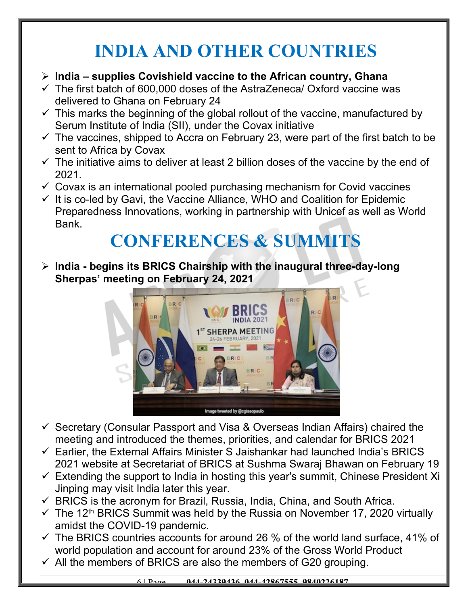## **INDIA AND OTHER COUNTRIES**

- **India supplies Covishield vaccine to the African country, Ghana**
- $\checkmark$  The first batch of 600,000 doses of the AstraZeneca/ Oxford vaccine was delivered to Ghana on February 24
- $\checkmark$  This marks the beginning of the global rollout of the vaccine, manufactured by Serum Institute of India (SII), under the Covax initiative
- $\checkmark$  The vaccines, shipped to Accra on February 23, were part of the first batch to be sent to Africa by Covax
- $\checkmark$  The initiative aims to deliver at least 2 billion doses of the vaccine by the end of 2021.
- $\checkmark$  Covax is an international pooled purchasing mechanism for Covid vaccines
- $\checkmark$  It is co-led by Gavi, the Vaccine Alliance, WHO and Coalition for Epidemic Preparedness Innovations, working in partnership with Unicef as well as World Bank.

# **CONFERENCES & SUMMITS**

 **India - begins its BRICS Chairship with the inaugural three-day-long Sherpas' meeting on February 24, 2021**



- $\checkmark$  Secretary (Consular Passport and Visa & Overseas Indian Affairs) chaired the meeting and introduced the themes, priorities, and calendar for BRICS 2021
- $\checkmark$  Earlier, the External Affairs Minister S Jaishankar had launched India's BRICS 2021 website at Secretariat of BRICS at Sushma Swaraj Bhawan on February 19
- $\checkmark$  Extending the support to India in hosting this year's summit, Chinese President Xi Jinping may visit India later this year.
- $\checkmark$  BRICS is the acronym for Brazil, Russia, India, China, and South Africa.
- $\checkmark$  The 12<sup>th</sup> BRICS Summit was held by the Russia on November 17, 2020 virtually amidst the COVID-19 pandemic.
- $\checkmark$  The BRICS countries accounts for around 26 % of the world land surface, 41% of world population and account for around 23% of the Gross World Product
- $\checkmark$  All the members of BRICS are also the members of G20 grouping.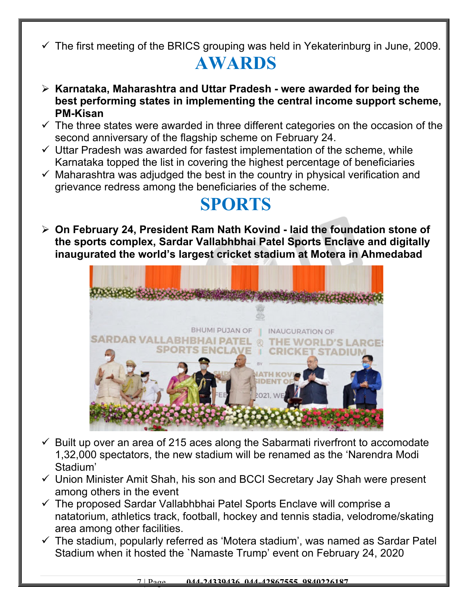$\checkmark$  The first meeting of the BRICS grouping was held in Yekaterinburg in June, 2009.

# **AWARDS**

- **Karnataka, Maharashtra and Uttar Pradesh were awarded for being the best performing states in implementing the central income support scheme, PM-Kisan**
- $\checkmark$  The three states were awarded in three different categories on the occasion of the second anniversary of the flagship scheme on February 24.
- $\checkmark$  Uttar Pradesh was awarded for fastest implementation of the scheme, while Karnataka topped the list in covering the highest percentage of beneficiaries
- $\checkmark$  Maharashtra was adjudged the best in the country in physical verification and grievance redress among the beneficiaries of the scheme.

#### **SPORTS**

 **On February 24, President Ram Nath Kovind - laid the foundation stone of the sports complex, Sardar Vallabhbhai Patel Sports Enclave and digitally inaugurated the world's largest cricket stadium at Motera in Ahmedabad**



- $\checkmark$  Built up over an area of 215 aces along the Sabarmati riverfront to accomodate 1,32,000 spectators, the new stadium will be renamed as the 'Narendra Modi Stadium'
- $\checkmark$  Union Minister Amit Shah, his son and BCCI Secretary Jay Shah were present among others in the event
- $\checkmark$  The proposed Sardar Vallabhbhai Patel Sports Enclave will comprise a natatorium, athletics track, football, hockey and tennis stadia, velodrome/skating area among other facilities.
- $\checkmark$  The stadium, popularly referred as 'Motera stadium', was named as Sardar Patel Stadium when it hosted the `Namaste Trump' event on February 24, 2020